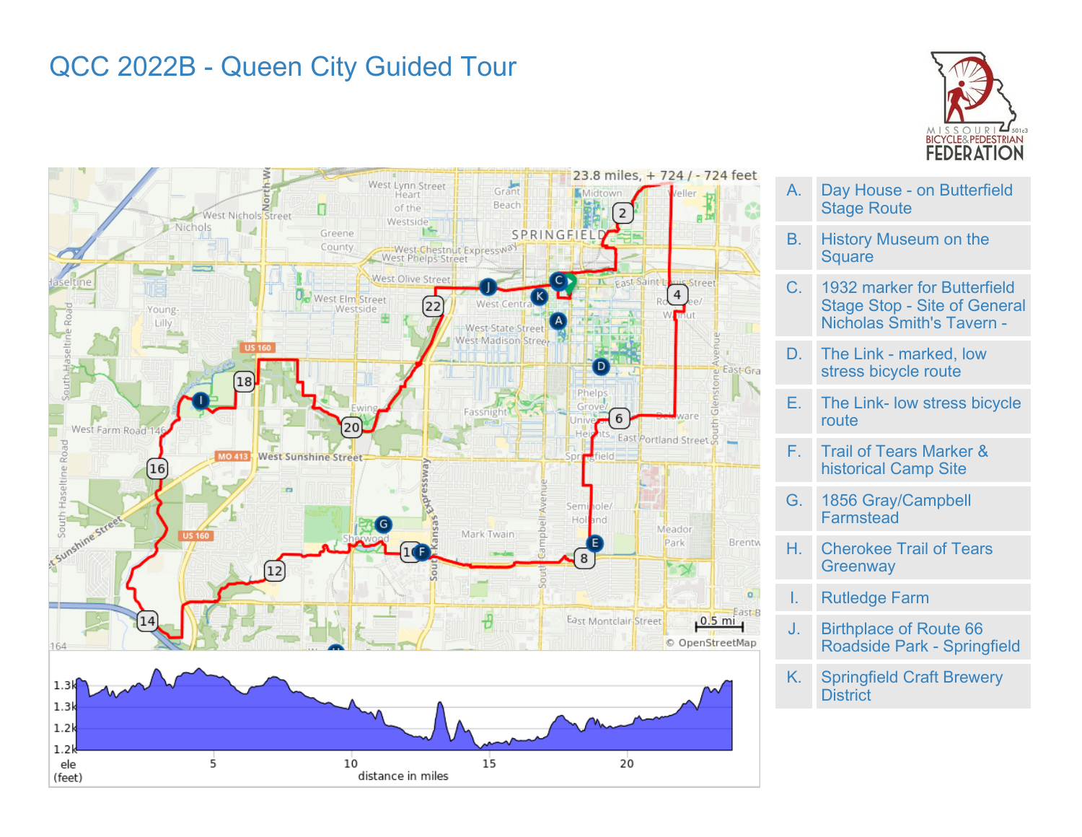# QCC 2022B - Queen City Guided Tour







- A. Day House on Butterfield Stage Route
- B. History Museum on the **Square**
- C. 1932 marker for Butterfield Stage Stop - Site of General Nicholas Smith's Tavern -
- D. The Link marked, low stress bicycle route
- E. The Link- low stress bicycle route
- F. Trail of Tears Marker & historical Camp Site
- G. 1856 Gray/Campbell **Farmstead**
- H. Cherokee Trail of Tears **Greenway**
- I. Rutledge Farm
- J. Birthplace of Route 66 Roadside Park - Springfield
- K. Springfield Craft Brewery **District**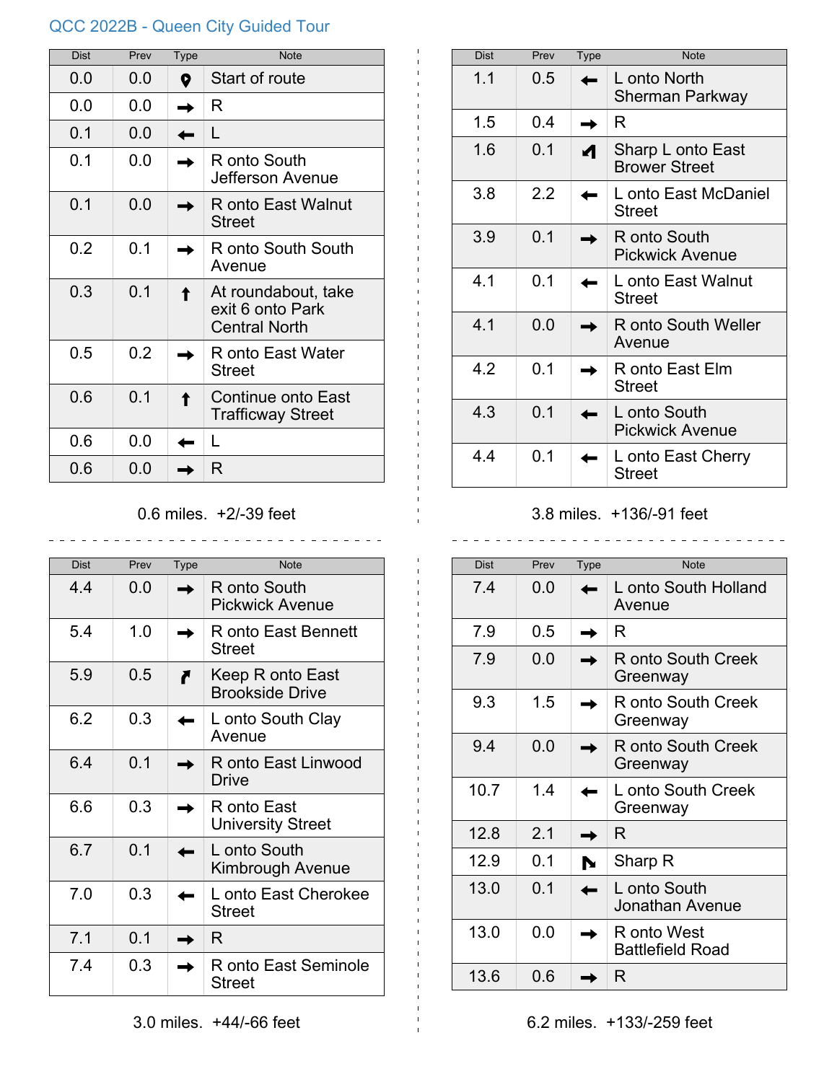# QCC 2022B - Queen City Guided Tour

| <b>Dist</b> | Prev | <b>Type</b> | <b>Note</b>                                                     |
|-------------|------|-------------|-----------------------------------------------------------------|
| 0.0         | 0.0  | 0           | Start of route                                                  |
| 0.0         | 0.0  |             | R                                                               |
| 0.1         | 0.0  |             | L                                                               |
| 0.1         | 0.0  |             | R onto South<br>Jefferson Avenue                                |
| 0.1         | 0.0  |             | R onto East Walnut<br><b>Street</b>                             |
| 0.2         | 0.1  |             | R onto South South<br>Avenue                                    |
| 0.3         | 0.1  |             | At roundabout, take<br>exit 6 onto Park<br><b>Central North</b> |
| 0.5         | 0.2  |             | R onto East Water<br><b>Street</b>                              |
| 0.6         | 0.1  |             | Continue onto East<br><b>Trafficway Street</b>                  |
| 0.6         | 0.0  |             | L                                                               |
| 0.6         | 0.0  |             | R                                                               |

## 0.6 miles. +2/-39 feet

| <b>Dist</b> | Prev | <b>Type</b> | <b>Note</b>                                |
|-------------|------|-------------|--------------------------------------------|
| 4.4         | 0.0  |             | R onto South<br><b>Pickwick Avenue</b>     |
| 5.4         | 1.0  |             | R onto East Bennett<br><b>Street</b>       |
| 5.9         | 0.5  |             | Keep R onto East<br><b>Brookside Drive</b> |
| 6.2         | 0.3  |             | L onto South Clay<br>Avenue                |
| 6.4         | 0.1  |             | R onto East Linwood<br>Drive               |
| 6.6         | 0.3  |             | R onto East<br><b>University Street</b>    |
| 6.7         | 0.1  |             | L onto South<br>Kimbrough Avenue           |
| 7.0         | 0.3  |             | L onto East Cherokee<br><b>Street</b>      |
| 7.1         | 0.1  |             | R                                          |
| 7.4         | 0.3  |             | R onto East Seminole<br>Street             |

| <b>Dist</b> | Prev | <b>Type</b> | <b>Note</b>                               |
|-------------|------|-------------|-------------------------------------------|
| 1.1         | 0.5  |             | L onto North<br>Sherman Parkway           |
| 1.5         | 04   |             | R                                         |
| 1.6         | 0.1  |             | Sharp L onto East<br><b>Brower Street</b> |
| 3.8         | 2.2  |             | L onto East McDaniel<br>Street            |
| 3.9         | 0.1  |             | R onto South<br><b>Pickwick Avenue</b>    |
| 4.1         | 0.1  |             | L onto East Walnut<br><b>Street</b>       |
| 4 1         | ი ი  |             | R onto South Weller<br>Avenue             |
| 4.2         | 0.1  |             | R onto East Elm<br><b>Street</b>          |
| 4.3         | 0.1  |             | L onto South<br><b>Pickwick Avenue</b>    |
| 4.4         | 0.1  |             | L onto East Cherry<br><b>Street</b>       |

#### 3.8 miles. +136/-91 feet

 $\frac{1}{2}$ 

 $\sim$   $\sim$ 

| Dist | Prev | <b>Type</b> | <b>Note</b>                            |
|------|------|-------------|----------------------------------------|
| 7.4  | 0.0  |             | L onto South Holland<br>Avenue         |
| 7.9  | 0.5  |             | R                                      |
| 7.9  | 0.0  |             | R onto South Creek<br>Greenway         |
| 9.3  | 1.5  |             | R onto South Creek<br>Greenway         |
| 9.4  | 0.0  |             | R onto South Creek<br>Greenway         |
| 10.7 | 1.4  |             | L onto South Creek<br>Greenway         |
| 12.8 | 2.1  |             | R                                      |
| 12.9 | 0.1  |             | Sharp R                                |
| 13.0 | 0.1  |             | L onto South<br><b>Jonathan Avenue</b> |
| 13.0 | 0.0  |             | R onto West<br><b>Battlefield Road</b> |
| 13.6 | 0.6  |             | R                                      |